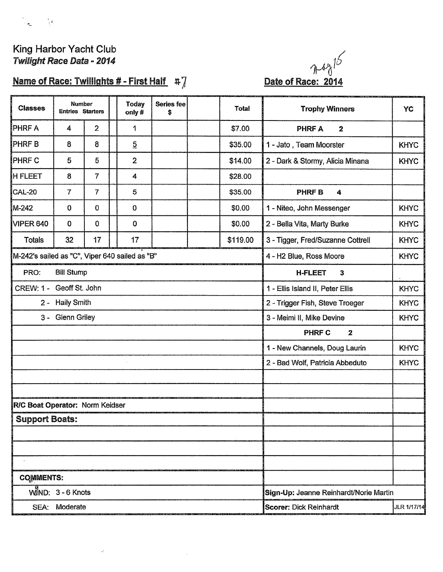

# King Harbor Yacht Club Twilight Race Data - 2014

# Name of Race: Twillights # - First Half #7

J.



| <b>Classes</b>                                 | Number<br><b>Entries Starters</b> |                | <b>Today</b><br>only# | Series fee<br>S | Total    | <b>Trophy Winners</b>                     | <b>YC</b>   |
|------------------------------------------------|-----------------------------------|----------------|-----------------------|-----------------|----------|-------------------------------------------|-------------|
| <b>PHRF A</b>                                  | 4                                 | $\overline{2}$ | 1                     |                 | \$7.00   | <b>PHRF A</b><br>$\mathbf{2}$             |             |
| <b>PHRFB</b>                                   | 8                                 | 8              | $\overline{5}$        |                 | \$35.00  | 1 - Jato, Team Moorster                   | <b>KHYC</b> |
| <b>PHRF C</b>                                  | 5                                 | 5              | $\overline{2}$        |                 | \$14.00  | 2 - Dark & Stormy, Alicia Minana          | <b>KHYC</b> |
| <b>IH FLEET</b>                                | 8                                 | $\overline{7}$ | 4                     |                 | \$28.00  |                                           |             |
| CAL-20                                         | $\overline{7}$                    | $\overline{7}$ | 5                     |                 | \$35.00  | <b>PHRFB</b><br>4                         |             |
| M-242                                          | 0                                 | $\bf{0}$       | 0                     |                 | \$0.00   | 1 - Niteo, John Messenger                 | <b>KHYC</b> |
| VIPER 640                                      | $\bf{0}$                          | 0              | 0                     |                 | \$0.00   | 2 - Bella Vita, Marty Burke               | <b>KHYC</b> |
| Totals                                         | 32                                | 17             | 17                    |                 | \$119.00 | 3 - Tigger, Fred/Suzanne Cottrell         | <b>KHYC</b> |
| M-242's sailed as "C", Viper 640 sailed as "B" |                                   |                |                       |                 |          | 4 - H2 Blue, Ross Moore                   | <b>KHYC</b> |
| PRO:                                           | <b>Bill Stump</b>                 |                |                       |                 |          | <b>H-FLEET</b><br>$\overline{\mathbf{3}}$ |             |
| CREW: 1 - Geoff St. John                       |                                   |                |                       |                 |          | 1 - Ellis Island II, Peter Ellis          | <b>KHYC</b> |
|                                                | 2 - Haily Smith                   |                |                       |                 |          | 2 - Trigger Fish, Steve Troeger           | <b>KHYC</b> |
|                                                | 3 - Glenn Griley                  |                |                       |                 |          | 3 - Meimi II, Mike Devine                 | <b>KHYC</b> |
|                                                |                                   |                |                       |                 |          | PHRF C<br>$\mathbf{2}$                    |             |
|                                                |                                   |                |                       |                 |          | 1 - New Channels, Doug Laurin             | <b>KHYC</b> |
|                                                |                                   |                |                       |                 |          | 2 - Bad Wolf, Patricia Abbeduto           | <b>KHYC</b> |
|                                                |                                   |                |                       |                 |          |                                           |             |
|                                                |                                   |                |                       |                 |          |                                           |             |
| R/C Boat Operator: Norm Keidser                |                                   |                |                       |                 |          |                                           |             |
| <b>Support Boats:</b>                          |                                   |                |                       |                 |          |                                           |             |
|                                                |                                   |                |                       |                 |          |                                           |             |
|                                                |                                   |                |                       |                 |          |                                           |             |
|                                                |                                   |                |                       |                 |          |                                           |             |
| <b>COMMENTS:</b>                               |                                   |                |                       |                 |          |                                           |             |
|                                                | $WII18ND: 3 - 6$ Knots            |                |                       |                 |          | Sign-Up: Jeanne Reinhardt/Norie Martin    |             |
|                                                | SEA: Moderate                     |                |                       |                 |          | <b>Scorer: Dick Reinhardt</b>             | JLR 1/17/14 |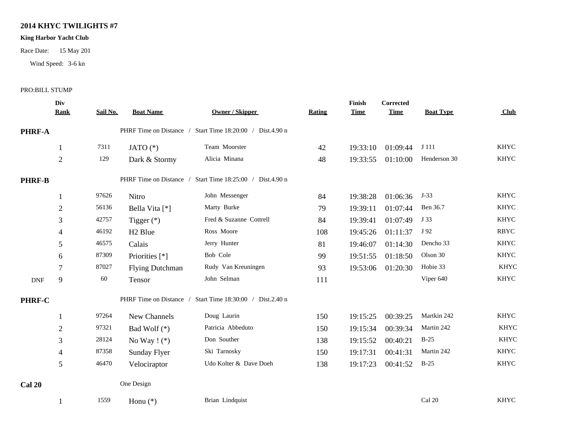## **2014 KHYC TWILIGHTS #7**

### **King Harbor Yacht Club**

Race Date: 15 May 201

Wind Speed: 3-6 kn

#### PRO:BILL STUMP

|               | Div              |          |                         |                                   |        | Finish      | Corrected   |                  |             |  |
|---------------|------------------|----------|-------------------------|-----------------------------------|--------|-------------|-------------|------------------|-------------|--|
|               | <b>Rank</b>      | Sail No. | <b>Boat Name</b>        | <b>Owner / Skipper</b>            | Rating | <b>Time</b> | <b>Time</b> | <b>Boat Type</b> | Club        |  |
| <b>PHRF-A</b> |                  |          | PHRF Time on Distance / | Start Time 18:20:00 / Dist.4.90 n |        |             |             |                  |             |  |
|               | 1                | 7311     | JATO $(*)$              | Team Moorster                     | 42     | 19:33:10    | 01:09:44    | J 111            | <b>KHYC</b> |  |
|               | $\sqrt{2}$       | 129      | Dark & Stormy           | Alicia Minana                     | 48     | 19:33:55    | 01:10:00    | Henderson 30     | <b>KHYC</b> |  |
| <b>PHRF-B</b> |                  |          | PHRF Time on Distance / | Start Time 18:25:00 / Dist.4.90 n |        |             |             |                  |             |  |
|               | 1                | 97626    | Nitro                   | John Messenger                    | 84     | 19:38:28    | 01:06:36    | $J-33$           | <b>KHYC</b> |  |
|               | $\overline{2}$   | 56136    | Bella Vita [*]          | Marty Burke                       | 79     | 19:39:11    | 01:07:44    | Ben 36.7         | <b>KHYC</b> |  |
|               | 3                | 42757    | Tigger $(*)$            | Fred & Suzanne Cottrell           | 84     | 19:39:41    | 01:07:49    | J 33             | <b>KHYC</b> |  |
|               | 4                | 46192    | H <sub>2</sub> Blue     | Ross Moore                        | 108    | 19:45:26    | 01:11:37    | J 92             | <b>RBYC</b> |  |
|               | 5                | 46575    | Calais                  | Jerry Hunter                      | 81     | 19:46:07    | 01:14:30    | Dencho 33        | <b>KHYC</b> |  |
|               | 6                | 87309    | Priorities [*]          | Bob Cole                          | 99     | 19:51:55    | 01:18:50    | Olson 30         | <b>KHYC</b> |  |
|               | 7                | 87027    | <b>Flying Dutchman</b>  | Rudy Van Kreuningen               | 93     | 19:53:06    | 01:20:30    | Hobie 33         | <b>KHYC</b> |  |
| <b>DNF</b>    | 9                | 60       | Tensor                  | John Selman                       | 111    |             |             | Viper 640        | <b>KHYC</b> |  |
| PHRF-C        |                  |          | PHRF Time on Distance / | Start Time 18:30:00 / Dist.2.40 n |        |             |             |                  |             |  |
|               | 1                | 97264    | New Channels            | Doug Laurin                       | 150    | 19:15:25    | 00:39:25    | Martkin 242      | <b>KHYC</b> |  |
|               | $\boldsymbol{2}$ | 97321    | Bad Wolf $(*)$          | Patricia Abbeduto                 | 150    | 19:15:34    | 00:39:34    | Martin 242       | <b>KHYC</b> |  |
|               | 3                | 28124    | No Way $! (*)$          | Don Souther                       | 138    | 19:15:52    | 00:40:21    | $B-25$           | <b>KHYC</b> |  |
|               | $\overline{4}$   | 87358    | Sunday Flyer            | Ski Tarnosky                      | 150    | 19:17:31    | 00:41:31    | Martin 242       | <b>KHYC</b> |  |
|               | 5                | 46470    | Velociraptor            | Udo Kolter & Dave Doeh            | 138    | 19:17:23    | 00:41:52    | $B-25$           | <b>KHYC</b> |  |
| <b>Cal 20</b> |                  |          | One Design              |                                   |        |             |             |                  |             |  |
|               | 1                | 1559     | Honu $(*)$              | Brian Lindquist                   |        |             |             | Cal 20           | <b>KHYC</b> |  |